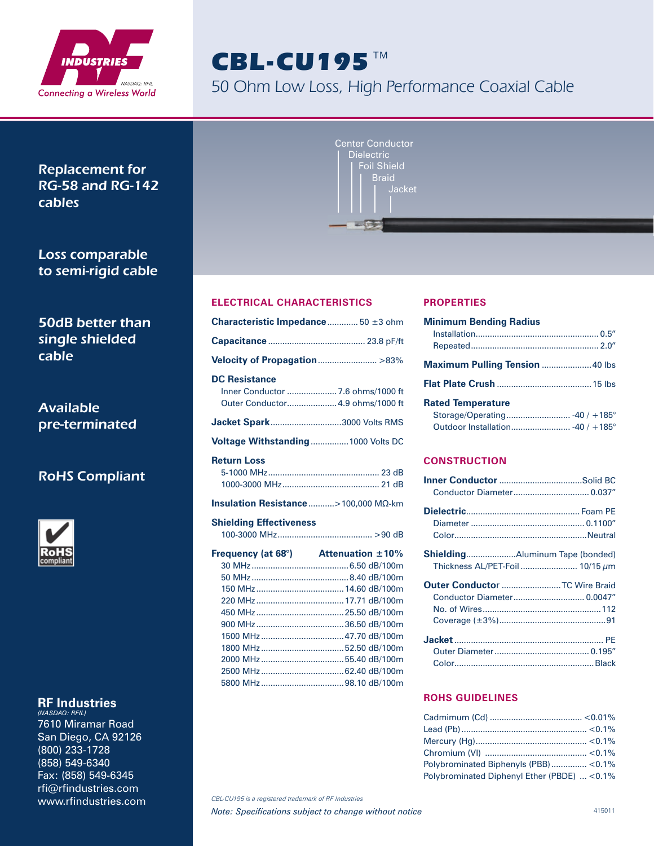

# CBL-CU195™

50 Ohm Low Loss, High Performance Coaxial Cable

Replacement for RG-58 and RG-142 cables

Loss comparable to semi-rigid cable

50dB better than single shielded cable

Available pre-terminated

## RoHS Compliant



## **RF Industries**

*(NASDAQ: RFIL)* 7610 Miramar Road San Diego, CA 92126 (800) 233-1728 (858) 549-6340 Fax: (858) 549-6345 rfi@rfindustries.com www.rfindustries.com

| Center Conductor       |  |
|------------------------|--|
| <b>Dielectric</b>      |  |
| <b>Foil Shield</b>     |  |
| <b>Braid</b><br>Jacket |  |
|                        |  |
|                        |  |

## **ELECTRICAL CHARACTERISTICS**

| <b>Characteristic Impedance</b> 50 $\pm$ 3 ohm                                                |
|-----------------------------------------------------------------------------------------------|
|                                                                                               |
| Velocity of Propagation>83%                                                                   |
| <b>DC Resistance</b><br>Inner Conductor  7.6 ohms/1000 ft<br>Outer Conductor 4.9 ohms/1000 ft |
|                                                                                               |
| <b>Jacket Spark3000 Volts RMS</b>                                                             |
| Voltage Withstanding  1000 Volts DC                                                           |
| <b>Return Loss</b>                                                                            |

#### **Shielding Effectiveness**

| Frequency (at 68 $^{\circ}$ ) Attenuation $\pm 10\%$ |
|------------------------------------------------------|
|                                                      |
|                                                      |
|                                                      |
|                                                      |
|                                                      |
|                                                      |
|                                                      |
|                                                      |
|                                                      |
|                                                      |
|                                                      |
|                                                      |

### **PROPERTIES**

| <b>Minimum Bending Radius</b>         |  |
|---------------------------------------|--|
|                                       |  |
|                                       |  |
| <b>Maximum Pulling Tension 40 lbs</b> |  |
|                                       |  |
| <b>Rated Temperature</b>              |  |
|                                       |  |
|                                       |  |

## **CONSTRUCTION**

| Conductor Diameter 0.037"       |  |
|---------------------------------|--|
|                                 |  |
|                                 |  |
|                                 |  |
|                                 |  |
| Thickness AL/PET-Foil  10/15 μm |  |
|                                 |  |
| Outer Conductor  TC Wire Braid  |  |
| Conductor Diameter 0.0047"      |  |
|                                 |  |
|                                 |  |
|                                 |  |
|                                 |  |

#### **ROHS GUIDELINES**

| Polybrominated Biphenyls (PBB)<0.1%          |  |
|----------------------------------------------|--|
| Polybrominated Diphenyl Ether (PBDE)  < 0.1% |  |

*CBL-CU195 is a registered trademark of RF Industries*

**Note: Specifications subject to change without notice** And Alexander 415011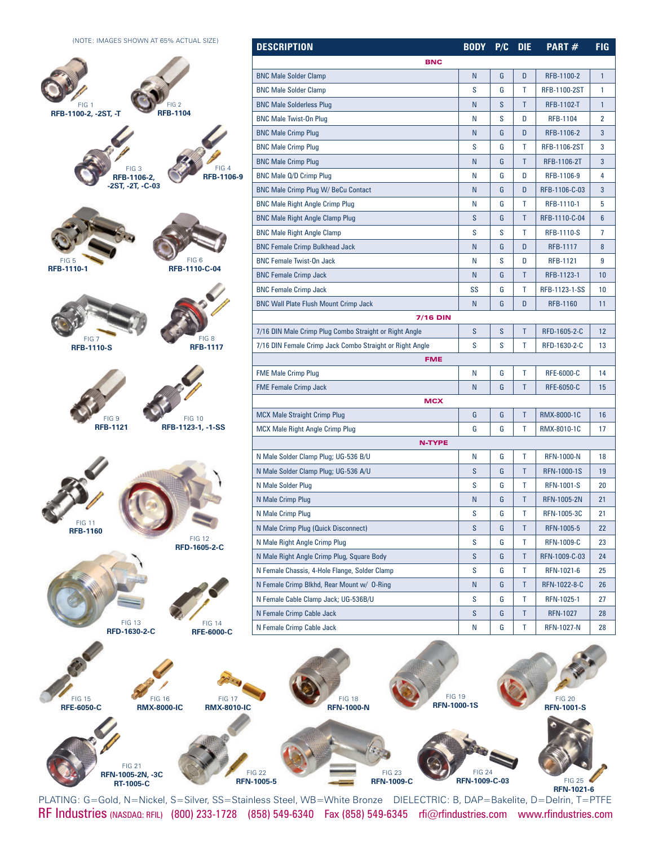(NOTE: IMAGES SHOWN AT 65% ACTUAL SIZE)



| <b>DESCRIPTION</b>                                       | <b>BODY</b> | P/C | <b>DIE</b> | PART#               | FIG            |  |  |
|----------------------------------------------------------|-------------|-----|------------|---------------------|----------------|--|--|
| <b>BNC</b>                                               |             |     |            |                     |                |  |  |
| <b>BNC Male Solder Clamp</b>                             | N           | G   | D          | RFB-1100-2          | 1              |  |  |
| <b>BNC Male Solder Clamp</b>                             | S           | G   | T          | <b>RFB-1100-2ST</b> | 1              |  |  |
| <b>BNC Male Solderless Plug</b>                          | N           | S   | T          | <b>RFB-1102-T</b>   | 1              |  |  |
| <b>BNC Male Twist-On Plug</b>                            | N           | S   | D          | <b>RFB-1104</b>     | 2              |  |  |
| <b>BNC Male Crimp Plug</b>                               | N           | G   | D          | RFB-1106-2          | 3              |  |  |
| <b>BNC Male Crimp Plug</b>                               | S           | G   | Т          | <b>RFB-1106-2ST</b> | 3              |  |  |
| <b>BNC Male Crimp Plug</b>                               | N           | G   | T          | RFB-1106-2T         | 3              |  |  |
| BNC Male Q/D Crimp Plug                                  | N           | G   | D          | RFB-1106-9          | 4              |  |  |
| <b>BNC Male Crimp Plug W/ BeCu Contact</b>               | N           | G   | D          | RFB-1106-C-03       | 3              |  |  |
| <b>BNC Male Right Angle Crimp Plug</b>                   | N           | G   | T          | RFB-1110-1          | 5              |  |  |
| <b>BNC Male Right Angle Clamp Plug</b>                   | S           | G   | Τ          | RFB-1110-C-04       | $6\phantom{1}$ |  |  |
| <b>BNC Male Right Angle Clamp</b>                        | s           | S   | T          | <b>RFB-1110-S</b>   | 7              |  |  |
| <b>BNC Female Crimp Bulkhead Jack</b>                    | N           | G   | D          | <b>RFB-1117</b>     | 8              |  |  |
| <b>BNC Female Twist-On Jack</b>                          | N           | S   | D          | <b>RFB-1121</b>     | 9              |  |  |
| <b>BNC Female Crimp Jack</b>                             | N           | G   | T          | RFB-1123-1          | 10             |  |  |
| <b>BNC Female Crimp Jack</b>                             | SS          | G   | Τ          | RFB-1123-1-SS       | 10             |  |  |
| <b>BNC Wall Plate Flush Mount Crimp Jack</b>             | N           | G   | D          | <b>RFB-1160</b>     | 11             |  |  |
| <b>7/16 DIN</b>                                          |             |     |            |                     |                |  |  |
| 7/16 DIN Male Crimp Plug Combo Straight or Right Angle   | S           | S   | Τ          | RFD-1605-2-C        | 12             |  |  |
| 7/16 DIN Female Crimp Jack Combo Straight or Right Angle | S           | S   | T          | RFD-1630-2-C        | 13             |  |  |
| <b>FME</b>                                               |             |     |            |                     |                |  |  |
| <b>FME Male Crimp Plug</b>                               | N           | G   | Т          | <b>RFE-6000-C</b>   | 14             |  |  |
| <b>FME Female Crimp Jack</b>                             | N           | G   | T          | <b>RFE-6050-C</b>   | 15             |  |  |
| <b>MCX</b>                                               |             |     |            |                     |                |  |  |
| <b>MCX Male Straight Crimp Plug</b>                      | G           | G   | Τ          | RMX-8000-1C         | 16             |  |  |
| <b>MCX Male Right Angle Crimp Plug</b>                   | G           | G   | Т          | RMX-8010-1C         | 17             |  |  |
| <b>N-TYPE</b>                                            |             |     |            |                     |                |  |  |
| N Male Solder Clamp Plug; UG-536 B/U                     | N           | G   | T          | <b>RFN-1000-N</b>   | 18             |  |  |
| N Male Solder Clamp Plug; UG-536 A/U                     | S           | G   | Τ          | <b>RFN-1000-1S</b>  | 19             |  |  |
| N Male Solder Plug                                       | S           | G   | Т          | <b>RFN-1001-S</b>   | 20             |  |  |
| N Male Crimp Plug                                        | N           | G   | Τ          | <b>RFN-1005-2N</b>  | 21             |  |  |
| N Male Crimp Plug                                        | S           | G   | Τ          | RFN-1005-3C         | 21             |  |  |
| N Male Crimp Plug (Quick Disconnect)                     | S           | G   | Τ          | RFN-1005-5          | 22             |  |  |
| N Male Right Angle Crimp Plug                            | S           | G   | Τ          | <b>RFN-1009-C</b>   | 23             |  |  |
| N Male Right Angle Crimp Plug, Square Body               | S           | G   | Τ          | RFN-1009-C-03       | 24             |  |  |
| N Female Chassis, 4-Hole Flange, Solder Clamp            | S           | G   | Τ          | RFN-1021-6          | 25             |  |  |
| N Female Crimp Blkhd, Rear Mount w/ 0-Ring               | N           | G   | Τ          | RFN-1022-8-C        | 26             |  |  |
| N Female Cable Clamp Jack; UG-536B/U                     | S           | G   | Τ          | RFN-1025-1          | 27             |  |  |
| N Female Crimp Cable Jack                                | S           | G   | Τ          | RFN-1027            | 28             |  |  |
| N Female Crimp Cable Jack                                | N           | G   | Τ          | <b>RFN-1027-N</b>   | 28             |  |  |



RF Industries (NASDAQ: RFIL) (800) 233-1728 (858) 549-6340 Fax (858) 549-6345 rfi@rfindustries.com www.rfindustries.com PLATING: G=Gold, N=Nickel, S=Silver, SS=Stainless Steel, WB=White Bronze DIELECTRIC: B, DAP=Bakelite, D=Delrin, T=PTFE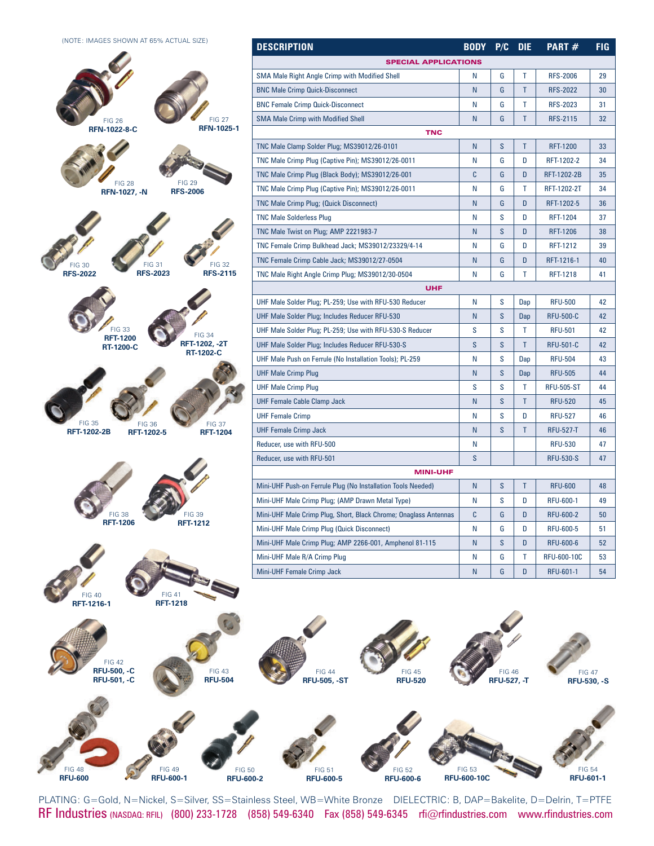(NOTE: IMAGES SHOWN AT 65% ACTUAL SIZE)



FIG 48 **RFU-600**  $\mathbf{p}$ 

| <b>SPECIAL APPLICATIONS</b><br>N<br>G<br>Т<br><b>RFS-2006</b><br>29<br>T<br>N<br>G<br><b>RFS-2022</b><br>30<br>G<br>Τ<br>N<br><b>RFS-2023</b><br>31<br>T<br>N<br>G<br><b>RFS-2115</b><br>32<br><b>TNC</b><br>S<br>T<br>N<br><b>RFT-1200</b><br>33<br>N<br>G<br>D<br>34<br>RFT-1202-2<br>C<br>G<br>D<br><b>RFT-1202-2B</b><br>35<br>N<br>G<br>Т<br>RFT-1202-2T<br>34<br>G<br>D<br>N<br>RFT-1202-5<br>36<br>S<br>N<br>D<br><b>RFT-1204</b><br>37<br>S<br>D<br>N<br><b>RFT-1206</b><br>38<br>N<br>G<br>D<br><b>RFT-1212</b><br>39<br>N<br>G<br>D<br>RFT-1216-1<br>40<br>N<br>G<br>T<br>41<br>RFT-1218<br><b>UHF</b><br>Ν<br>s<br><b>RFU-500</b><br>Dap<br>42<br>S<br>N<br><b>RFU-500-C</b><br>42<br>Dap<br>S<br>S<br>T<br><b>RFU-501</b><br>42<br>S<br>S<br>T<br><b>RFU-501-C</b><br>42<br>S<br>Ν<br>Dap<br><b>RFU-504</b><br>43<br>N<br>S<br>Dap<br><b>RFU-505</b><br>44<br>S<br>T<br>S<br><b>RFU-505-ST</b><br>44<br>S<br>T<br>N<br><b>RFU-520</b><br>45<br>S<br>D<br>N<br><b>RFU-527</b><br>46<br>S<br>T<br>N<br><b>RFU-527-T</b><br>46<br>N<br><b>RFU-530</b><br>47<br>S<br><b>RFU-530-S</b><br>47<br><b>MINI-UHF</b><br>N<br>S<br>T<br><b>RFU-600</b><br>48<br>N<br>s<br>D<br><b>RFU-600-1</b><br>49<br>C<br>G<br>D<br><b>RFU-600-2</b><br>50<br>N<br>G<br>D<br>51<br>RFU-600-5<br>N<br>S<br>D<br><b>RFU-600-6</b><br>52<br>G<br>Т<br><b>RFU-600-10C</b><br>N<br>53<br>N<br>G<br>D<br><b>RFU-601-1</b><br>54 | DESCRIPTION                                                      | <b>BODY</b> | P/C | <b>DIE</b> | PART# | <b>FIG</b> |  |
|----------------------------------------------------------------------------------------------------------------------------------------------------------------------------------------------------------------------------------------------------------------------------------------------------------------------------------------------------------------------------------------------------------------------------------------------------------------------------------------------------------------------------------------------------------------------------------------------------------------------------------------------------------------------------------------------------------------------------------------------------------------------------------------------------------------------------------------------------------------------------------------------------------------------------------------------------------------------------------------------------------------------------------------------------------------------------------------------------------------------------------------------------------------------------------------------------------------------------------------------------------------------------------------------------------------------------------------------------------------------------------------------------------------|------------------------------------------------------------------|-------------|-----|------------|-------|------------|--|
|                                                                                                                                                                                                                                                                                                                                                                                                                                                                                                                                                                                                                                                                                                                                                                                                                                                                                                                                                                                                                                                                                                                                                                                                                                                                                                                                                                                                                |                                                                  |             |     |            |       |            |  |
|                                                                                                                                                                                                                                                                                                                                                                                                                                                                                                                                                                                                                                                                                                                                                                                                                                                                                                                                                                                                                                                                                                                                                                                                                                                                                                                                                                                                                | <b>SMA Male Right Angle Crimp with Modified Shell</b>            |             |     |            |       |            |  |
|                                                                                                                                                                                                                                                                                                                                                                                                                                                                                                                                                                                                                                                                                                                                                                                                                                                                                                                                                                                                                                                                                                                                                                                                                                                                                                                                                                                                                | <b>BNC Male Crimp Quick-Disconnect</b>                           |             |     |            |       |            |  |
|                                                                                                                                                                                                                                                                                                                                                                                                                                                                                                                                                                                                                                                                                                                                                                                                                                                                                                                                                                                                                                                                                                                                                                                                                                                                                                                                                                                                                | <b>BNC Female Crimp Quick-Disconnect</b>                         |             |     |            |       |            |  |
|                                                                                                                                                                                                                                                                                                                                                                                                                                                                                                                                                                                                                                                                                                                                                                                                                                                                                                                                                                                                                                                                                                                                                                                                                                                                                                                                                                                                                | <b>SMA Male Crimp with Modified Shell</b>                        |             |     |            |       |            |  |
|                                                                                                                                                                                                                                                                                                                                                                                                                                                                                                                                                                                                                                                                                                                                                                                                                                                                                                                                                                                                                                                                                                                                                                                                                                                                                                                                                                                                                |                                                                  |             |     |            |       |            |  |
|                                                                                                                                                                                                                                                                                                                                                                                                                                                                                                                                                                                                                                                                                                                                                                                                                                                                                                                                                                                                                                                                                                                                                                                                                                                                                                                                                                                                                | TNC Male Clamp Solder Plug; MS39012/26-0101                      |             |     |            |       |            |  |
|                                                                                                                                                                                                                                                                                                                                                                                                                                                                                                                                                                                                                                                                                                                                                                                                                                                                                                                                                                                                                                                                                                                                                                                                                                                                                                                                                                                                                | TNC Male Crimp Plug (Captive Pin); MS39012/26-0011               |             |     |            |       |            |  |
|                                                                                                                                                                                                                                                                                                                                                                                                                                                                                                                                                                                                                                                                                                                                                                                                                                                                                                                                                                                                                                                                                                                                                                                                                                                                                                                                                                                                                | TNC Male Crimp Plug (Black Body); MS39012/26-001                 |             |     |            |       |            |  |
|                                                                                                                                                                                                                                                                                                                                                                                                                                                                                                                                                                                                                                                                                                                                                                                                                                                                                                                                                                                                                                                                                                                                                                                                                                                                                                                                                                                                                | TNC Male Crimp Plug (Captive Pin); MS39012/26-0011               |             |     |            |       |            |  |
|                                                                                                                                                                                                                                                                                                                                                                                                                                                                                                                                                                                                                                                                                                                                                                                                                                                                                                                                                                                                                                                                                                                                                                                                                                                                                                                                                                                                                | <b>TNC Male Crimp Plug; (Quick Disconnect)</b>                   |             |     |            |       |            |  |
|                                                                                                                                                                                                                                                                                                                                                                                                                                                                                                                                                                                                                                                                                                                                                                                                                                                                                                                                                                                                                                                                                                                                                                                                                                                                                                                                                                                                                | <b>TNC Male Solderless Plug</b>                                  |             |     |            |       |            |  |
|                                                                                                                                                                                                                                                                                                                                                                                                                                                                                                                                                                                                                                                                                                                                                                                                                                                                                                                                                                                                                                                                                                                                                                                                                                                                                                                                                                                                                | TNC Male Twist on Plug; AMP 2221983-7                            |             |     |            |       |            |  |
|                                                                                                                                                                                                                                                                                                                                                                                                                                                                                                                                                                                                                                                                                                                                                                                                                                                                                                                                                                                                                                                                                                                                                                                                                                                                                                                                                                                                                | TNC Female Crimp Bulkhead Jack; MS39012/23329/4-14               |             |     |            |       |            |  |
|                                                                                                                                                                                                                                                                                                                                                                                                                                                                                                                                                                                                                                                                                                                                                                                                                                                                                                                                                                                                                                                                                                                                                                                                                                                                                                                                                                                                                | TNC Female Crimp Cable Jack; MS39012/27-0504                     |             |     |            |       |            |  |
|                                                                                                                                                                                                                                                                                                                                                                                                                                                                                                                                                                                                                                                                                                                                                                                                                                                                                                                                                                                                                                                                                                                                                                                                                                                                                                                                                                                                                | TNC Male Right Angle Crimp Plug; MS39012/30-0504                 |             |     |            |       |            |  |
|                                                                                                                                                                                                                                                                                                                                                                                                                                                                                                                                                                                                                                                                                                                                                                                                                                                                                                                                                                                                                                                                                                                                                                                                                                                                                                                                                                                                                |                                                                  |             |     |            |       |            |  |
|                                                                                                                                                                                                                                                                                                                                                                                                                                                                                                                                                                                                                                                                                                                                                                                                                                                                                                                                                                                                                                                                                                                                                                                                                                                                                                                                                                                                                | UHF Male Solder Plug; PL-259; Use with RFU-530 Reducer           |             |     |            |       |            |  |
|                                                                                                                                                                                                                                                                                                                                                                                                                                                                                                                                                                                                                                                                                                                                                                                                                                                                                                                                                                                                                                                                                                                                                                                                                                                                                                                                                                                                                | UHF Male Solder Plug; Includes Reducer RFU-530                   |             |     |            |       |            |  |
|                                                                                                                                                                                                                                                                                                                                                                                                                                                                                                                                                                                                                                                                                                                                                                                                                                                                                                                                                                                                                                                                                                                                                                                                                                                                                                                                                                                                                | UHF Male Solder Plug; PL-259; Use with RFU-530-S Reducer         |             |     |            |       |            |  |
|                                                                                                                                                                                                                                                                                                                                                                                                                                                                                                                                                                                                                                                                                                                                                                                                                                                                                                                                                                                                                                                                                                                                                                                                                                                                                                                                                                                                                | UHF Male Solder Plug; Includes Reducer RFU-530-S                 |             |     |            |       |            |  |
|                                                                                                                                                                                                                                                                                                                                                                                                                                                                                                                                                                                                                                                                                                                                                                                                                                                                                                                                                                                                                                                                                                                                                                                                                                                                                                                                                                                                                | UHF Male Push on Ferrule (No Installation Tools); PL-259         |             |     |            |       |            |  |
|                                                                                                                                                                                                                                                                                                                                                                                                                                                                                                                                                                                                                                                                                                                                                                                                                                                                                                                                                                                                                                                                                                                                                                                                                                                                                                                                                                                                                | <b>UHF Male Crimp Plug</b>                                       |             |     |            |       |            |  |
|                                                                                                                                                                                                                                                                                                                                                                                                                                                                                                                                                                                                                                                                                                                                                                                                                                                                                                                                                                                                                                                                                                                                                                                                                                                                                                                                                                                                                | <b>UHF Male Crimp Plug</b>                                       |             |     |            |       |            |  |
|                                                                                                                                                                                                                                                                                                                                                                                                                                                                                                                                                                                                                                                                                                                                                                                                                                                                                                                                                                                                                                                                                                                                                                                                                                                                                                                                                                                                                | <b>UHF Female Cable Clamp Jack</b>                               |             |     |            |       |            |  |
|                                                                                                                                                                                                                                                                                                                                                                                                                                                                                                                                                                                                                                                                                                                                                                                                                                                                                                                                                                                                                                                                                                                                                                                                                                                                                                                                                                                                                | UHF Female Crimp                                                 |             |     |            |       |            |  |
|                                                                                                                                                                                                                                                                                                                                                                                                                                                                                                                                                                                                                                                                                                                                                                                                                                                                                                                                                                                                                                                                                                                                                                                                                                                                                                                                                                                                                | <b>UHF Female Crimp Jack</b>                                     |             |     |            |       |            |  |
|                                                                                                                                                                                                                                                                                                                                                                                                                                                                                                                                                                                                                                                                                                                                                                                                                                                                                                                                                                                                                                                                                                                                                                                                                                                                                                                                                                                                                | Reducer, use with RFU-500                                        |             |     |            |       |            |  |
|                                                                                                                                                                                                                                                                                                                                                                                                                                                                                                                                                                                                                                                                                                                                                                                                                                                                                                                                                                                                                                                                                                                                                                                                                                                                                                                                                                                                                | Reducer, use with RFU-501                                        |             |     |            |       |            |  |
|                                                                                                                                                                                                                                                                                                                                                                                                                                                                                                                                                                                                                                                                                                                                                                                                                                                                                                                                                                                                                                                                                                                                                                                                                                                                                                                                                                                                                |                                                                  |             |     |            |       |            |  |
|                                                                                                                                                                                                                                                                                                                                                                                                                                                                                                                                                                                                                                                                                                                                                                                                                                                                                                                                                                                                                                                                                                                                                                                                                                                                                                                                                                                                                | Mini-UHF Push-on Ferrule Plug (No Installation Tools Needed)     |             |     |            |       |            |  |
|                                                                                                                                                                                                                                                                                                                                                                                                                                                                                                                                                                                                                                                                                                                                                                                                                                                                                                                                                                                                                                                                                                                                                                                                                                                                                                                                                                                                                | Mini-UHF Male Crimp Plug; (AMP Drawn Metal Type)                 |             |     |            |       |            |  |
|                                                                                                                                                                                                                                                                                                                                                                                                                                                                                                                                                                                                                                                                                                                                                                                                                                                                                                                                                                                                                                                                                                                                                                                                                                                                                                                                                                                                                | Mini-UHF Male Crimp Plug, Short, Black Chrome; Onaglass Antennas |             |     |            |       |            |  |
|                                                                                                                                                                                                                                                                                                                                                                                                                                                                                                                                                                                                                                                                                                                                                                                                                                                                                                                                                                                                                                                                                                                                                                                                                                                                                                                                                                                                                | Mini-UHF Male Crimp Plug (Quick Disconnect)                      |             |     |            |       |            |  |
|                                                                                                                                                                                                                                                                                                                                                                                                                                                                                                                                                                                                                                                                                                                                                                                                                                                                                                                                                                                                                                                                                                                                                                                                                                                                                                                                                                                                                | Mini-UHF Male Crimp Plug; AMP 2266-001, Amphenol 81-115          |             |     |            |       |            |  |
|                                                                                                                                                                                                                                                                                                                                                                                                                                                                                                                                                                                                                                                                                                                                                                                                                                                                                                                                                                                                                                                                                                                                                                                                                                                                                                                                                                                                                | Mini-UHF Male R/A Crimp Plug                                     |             |     |            |       |            |  |
|                                                                                                                                                                                                                                                                                                                                                                                                                                                                                                                                                                                                                                                                                                                                                                                                                                                                                                                                                                                                                                                                                                                                                                                                                                                                                                                                                                                                                | Mini-UHF Female Crimp Jack                                       |             |     |            |       |            |  |













RF Industries (NASDAQ: RFIL) (800) 233-1728 (858) 549-6340 Fax (858) 549-6345 rfi@rfindustries.com www.rfindustries.com PLATING: G=Gold, N=Nickel, S=Silver, SS=Stainless Steel, WB=White Bronze DIELECTRIC: B, DAP=Bakelite, D=Delrin, T=PTFE